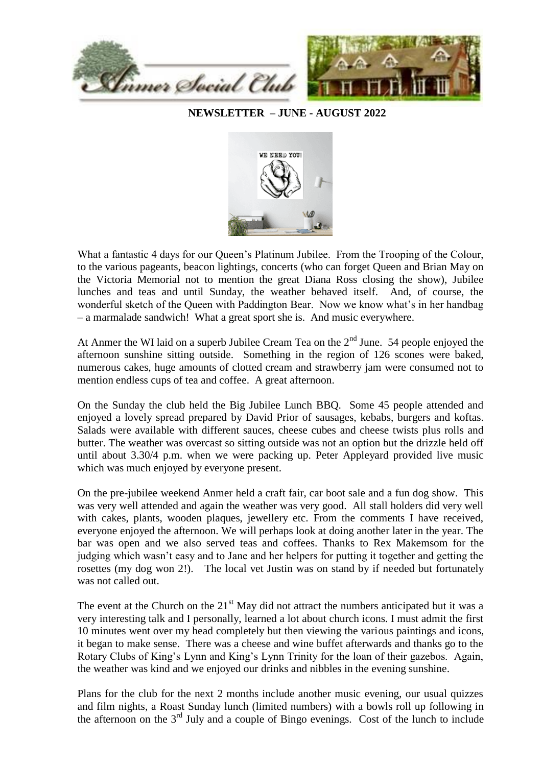

## **NEWSLETTER – JUNE - AUGUST 2022**



What a fantastic 4 days for our Queen's Platinum Jubilee. From the Trooping of the Colour, to the various pageants, beacon lightings, concerts (who can forget Queen and Brian May on the Victoria Memorial not to mention the great Diana Ross closing the show), Jubilee lunches and teas and until Sunday, the weather behaved itself. And, of course, the wonderful sketch of the Queen with Paddington Bear. Now we know what's in her handbag – a marmalade sandwich! What a great sport she is. And music everywhere.

At Anmer the WI laid on a superb Jubilee Cream Tea on the  $2<sup>nd</sup>$  June. 54 people enjoyed the afternoon sunshine sitting outside. Something in the region of 126 scones were baked, numerous cakes, huge amounts of clotted cream and strawberry jam were consumed not to mention endless cups of tea and coffee. A great afternoon.

On the Sunday the club held the Big Jubilee Lunch BBQ. Some 45 people attended and enjoyed a lovely spread prepared by David Prior of sausages, kebabs, burgers and koftas. Salads were available with different sauces, cheese cubes and cheese twists plus rolls and butter. The weather was overcast so sitting outside was not an option but the drizzle held off until about 3.30/4 p.m. when we were packing up. Peter Appleyard provided live music which was much enjoyed by everyone present.

On the pre-jubilee weekend Anmer held a craft fair, car boot sale and a fun dog show. This was very well attended and again the weather was very good. All stall holders did very well with cakes, plants, wooden plaques, jewellery etc. From the comments I have received, everyone enjoyed the afternoon. We will perhaps look at doing another later in the year. The bar was open and we also served teas and coffees. Thanks to Rex Makemsom for the judging which wasn't easy and to Jane and her helpers for putting it together and getting the rosettes (my dog won 2!). The local vet Justin was on stand by if needed but fortunately was not called out.

The event at the Church on the  $21<sup>st</sup>$  May did not attract the numbers anticipated but it was a very interesting talk and I personally, learned a lot about church icons. I must admit the first 10 minutes went over my head completely but then viewing the various paintings and icons, it began to make sense. There was a cheese and wine buffet afterwards and thanks go to the Rotary Clubs of King's Lynn and King's Lynn Trinity for the loan of their gazebos. Again, the weather was kind and we enjoyed our drinks and nibbles in the evening sunshine.

Plans for the club for the next 2 months include another music evening, our usual quizzes and film nights, a Roast Sunday lunch (limited numbers) with a bowls roll up following in the afternoon on the  $3<sup>rd</sup>$  July and a couple of Bingo evenings. Cost of the lunch to include